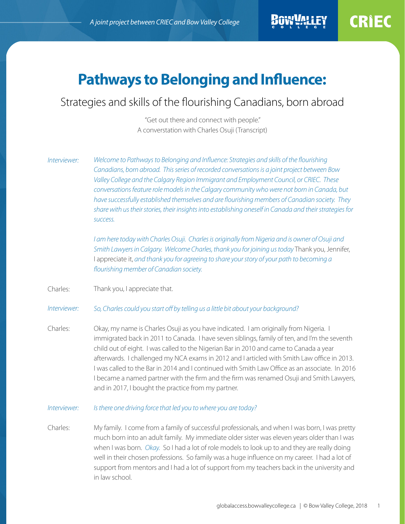# **Pathways to Belonging and Influence:**

# Strategies and skills of the flourishing Canadians, born abroad

"Get out there and connect with people." A converstation with Charles Osuji (Transcript)

*Welcome to Pathways to Belonging and Influence: Strategies and skills of the flourishing Canadians, born abroad. This series of recorded conversations is a joint project between Bow Valley College and the Calgary Region Immigrant and Employment Council, or CRIEC. These conversations feature role models in the Calgary community who were not born in Canada, but have successfully established themselves and are flourishing members of Canadian society. They share with us their stories, their insights into establishing oneself in Canada and their strategies for success. Interviewer:* 

> *I am here today with Charles Osuji. Charles is originally from Nigeria and is owner of Osuji and Smith Lawyers in Calgary. Welcome Charles, thank you for joining us today* Thank you, Jennifer, I appreciate it, *and thank you for agreeing to share your story of your path to becoming a flourishing member of Canadian society.*

Thank you, I appreciate that. Charles:

#### *So, Charles could you start off by telling us a little bit about your background? Interviewer:*

Okay, my name is Charles Osuji as you have indicated. I am originally from Nigeria. I immigrated back in 2011 to Canada. I have seven siblings, family of ten, and I'm the seventh child out of eight. I was called to the Nigerian Bar in 2010 and came to Canada a year afterwards. I challenged my NCA exams in 2012 and I articled with Smith Law office in 2013. I was called to the Bar in 2014 and I continued with Smith Law Office as an associate. In 2016 I became a named partner with the firm and the firm was renamed Osuji and Smith Lawyers, and in 2017, I bought the practice from my partner. Charles:

### *Is there one driving force that led you to where you are today? Interviewer:*

My family. I come from a family of successful professionals, and when I was born, I was pretty much born into an adult family. My immediate older sister was eleven years older than I was when I was born. *Okay.* So I had a lot of role models to look up to and they are really doing well in their chosen professions. So family was a huge influence on my career. I had a lot of support from mentors and I had a lot of support from my teachers back in the university and in law school. Charles: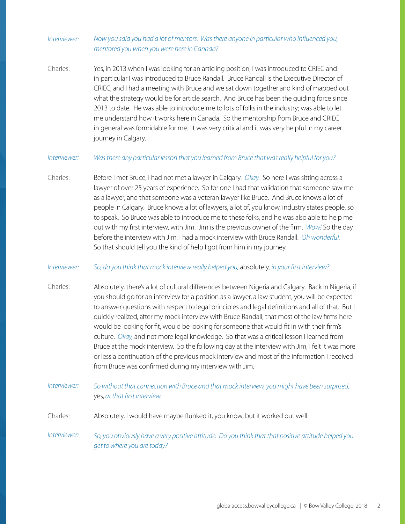## *Now you said you had a lot of mentors. Was there anyone in particular who influenced you, mentored you when you were here in Canada? Interviewer:*

Yes, in 2013 when I was looking for an articling position, I was introduced to CRIEC and in particular I was introduced to Bruce Randall. Bruce Randall is the Executive Director of CRIEC, and I had a meeting with Bruce and we sat down together and kind of mapped out what the strategy would be for article search. And Bruce has been the guiding force since 2013 to date. He was able to introduce me to lots of folks in the industry; was able to let me understand how it works here in Canada. So the mentorship from Bruce and CRIEC in general was formidable for me. It was very critical and it was very helpful in my career journey in Calgary. Charles:

#### *Was there any particular lesson that you learned from Bruce that was really helpful for you? Interviewer:*

Before I met Bruce, I had not met a lawyer in Calgary. *Okay.* So here I was sitting across a lawyer of over 25 years of experience. So for one I had that validation that someone saw me as a lawyer, and that someone was a veteran lawyer like Bruce. And Bruce knows a lot of people in Calgary. Bruce knows a lot of lawyers, a lot of, you know, industry states people, so to speak. So Bruce was able to introduce me to these folks, and he was also able to help me out with my first interview, with Jim. Jim is the previous owner of the firm. *Wow!* So the day before the interview with Jim, I had a mock interview with Bruce Randall. *Oh wonderful.* So that should tell you the kind of help I got from him in my journey. Charles:

#### *So, do you think that mock interview really helped you,* absolutely*, in your first interview? Interviewer:*

- Absolutely, there's a lot of cultural differences between Nigeria and Calgary. Back in Nigeria, if you should go for an interview for a position as a lawyer, a law student, you will be expected to answer questions with respect to legal principles and legal definitions and all of that. But I quickly realized, after my mock interview with Bruce Randall, that most of the law firms here would be looking for fit, would be looking for someone that would fit in with their firm's culture. *Okay,* and not more legal knowledge. So that was a critical lesson I learned from Bruce at the mock interview. So the following day at the interview with Jim, I felt it was more or less a continuation of the previous mock interview and most of the information I received from Bruce was confirmed during my interview with Jim. Charles:
- *So without that connection with Bruce and that mock interview, you might have been surprised,*  yes, *at that first interview. Interviewer:*
- Absolutely, I would have maybe flunked it, you know, but it worked out well. Charles:
- *So, you obviously have a very positive attitude. Do you think that that positive attitude helped you get to where you are today? Interviewer:*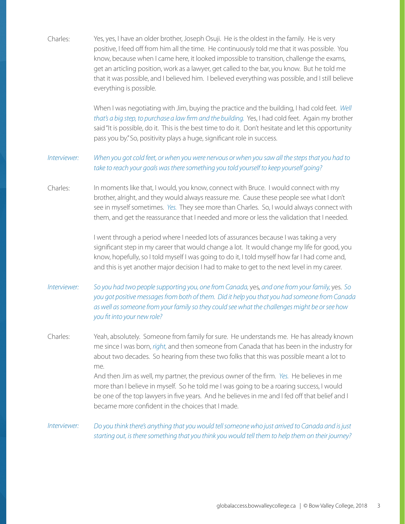Yes, yes, I have an older brother, Joseph Osuji. He is the oldest in the family. He is very positive, I feed off from him all the time. He continuously told me that it was possible. You know, because when I came here, it looked impossible to transition, challenge the exams, get an articling position, work as a lawyer, get called to the bar, you know. But he told me that it was possible, and I believed him. I believed everything was possible, and I still believe everything is possible. When I was negotiating with Jim, buying the practice and the building, I had cold feet. *Well that's a big step, to purchase a law firm and the building.* Yes, I had cold feet. Again my brother said "It is possible, do it. This is the best time to do it. Don't hesitate and let this opportunity pass you by." So, positivity plays a huge, significant role in success. *When you got cold feet, or when you were nervous or when you saw all the steps that you had to take to reach your goals was there something you told yourself to keep yourself going?* In moments like that, I would, you know, connect with Bruce. I would connect with my brother, alright, and they would always reassure me. Cause these people see what I don't see in myself sometimes. *Yes.* They see more than Charles. So, I would always connect with them, and get the reassurance that I needed and more or less the validation that I needed. I went through a period where I needed lots of assurances because I was taking a very significant step in my career that would change a lot. It would change my life for good, you know, hopefully, so I told myself I was going to do it, I told myself how far I had come and, and this is yet another major decision I had to make to get to the next level in my career. *So you had two people supporting you, one from Canada,* yes*, and one from your family,* yes. *So you got positive messages from both of them. Did it help you that you had someone from Canada as well as someone from your family so they could see what the challenges might be or see how you fit into your new role?* Yeah, absolutely. Someone from family for sure. He understands me. He has already known me since I was born, *right,* and then someone from Canada that has been in the industry for about two decades. So hearing from these two folks that this was possible meant a lot to me. And then Jim as well, my partner, the previous owner of the firm. *Yes.* He believes in me more than I believe in myself. So he told me I was going to be a roaring success, I would be one of the top lawyers in five years. And he believes in me and I fed off that belief and I became more confident in the choices that I made. *Do you think there's anything that you would tell someone who just arrived to Canada and is just starting out, is there something that you think you would tell them to help them on their journey?* Charles: *Interviewer:*  Charles: *Interviewer:*  Charles: *Interviewer:*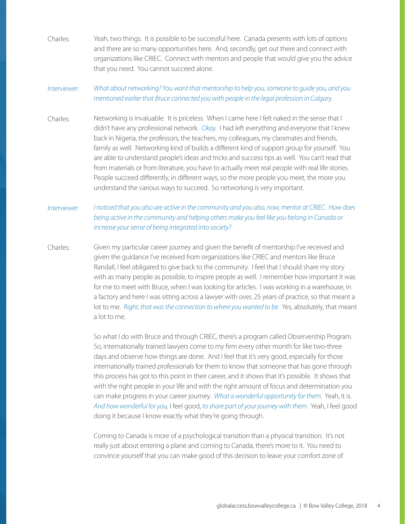Yeah, two things. It is possible to be successful here. Canada presents with lots of options and there are so many opportunities here. And, secondly, get out there and connect with organizations like CRIEC. Connect with mentors and people that would give you the advice that you need. You cannot succeed alone. Charles:

# *What about networking? You want that mentorship to help you, someone to guide you, and you mentioned earlier that Bruce connected you with people in the legal profession in Calgary. Interviewer:*

Networking is invaluable. It is priceless. When I came here I felt naked in the sense that I didn't have any professional network. *Okay.* I had left everything and everyone that I knew back in Nigeria, the professors, the teachers, my colleagues, my classmates and friends, family as well. Networking kind of builds a different kind of support group for yourself. You are able to understand people's ideas and tricks and success tips as well. You can't read that from materials or from literature, you have to actually meet real people with real life stories. People succeed differently, in different ways, so the more people you meet, the more you understand the various ways to succeed. So networking is very important. Charles:

# *I noticed that you also are active in the community and you also, now, mentor at CRIEC. How does being active in the community and helping others make you feel like you belong in Canada or increase your sense of being integrated into society? Interviewer:*

Given my particular career journey and given the benefit of mentorship I've received and given the guidance I've received from organizations like CRIEC and mentors like Bruce Randall, I feel obligated to give back to the community. I feel that I should share my story with as many people as possible, to inspire people as well. I remember how important it was for me to meet with Bruce, when I was looking for articles. I was working in a warehouse, in a factory and here I was sitting across a lawyer with over, 25 years of practice, so that meant a lot to me. *Right, that was the connection to where you wanted to be.* Yes, absolutely, that meant a lot to me. Charles:

> So what I do with Bruce and through CRIEC, there's a program called Observership Program. So, internationally trained lawyers come to my firm every other month for like two-three days and observe how things are done. And I feel that it's very good, especially for those internationally trained professionals for them to know that someone that has gone through this process has got to this point in their career, and it shows that it's possible. It shows that with the right people in your life and with the right amount of focus and determination you can make progress in your career journey. *What a wonderful opportunity for them.* Yeah, it is. *And how wonderful for you,* I feel good, *to share part of your journey with them.* Yeah, I feel good doing it because I know exactly what they're going through.

Coming to Canada is more of a psychological transition than a physical transition. It's not really just about entering a plane and coming to Canada, there's more to it. You need to convince yourself that you can make good of this decision to leave your comfort zone of